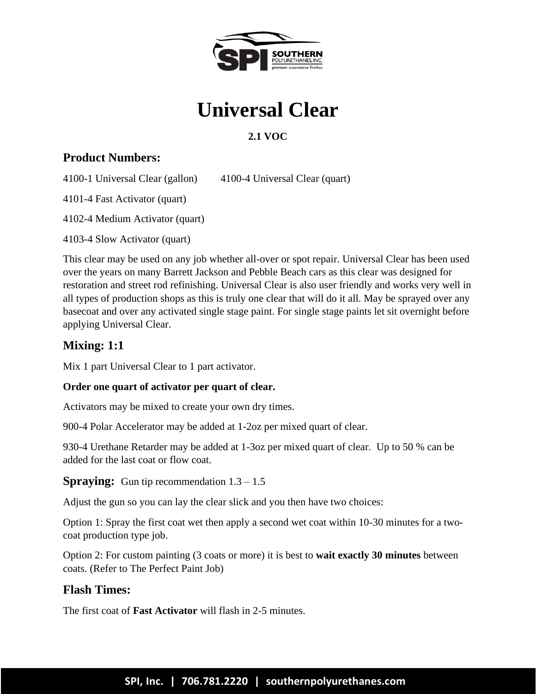

# **Universal Clear**

# **2.1 VOC**

# **Product Numbers:**

4100-1 Universal Clear (gallon) 4100-4 Universal Clear (quart)

4101-4 Fast Activator (quart)

4102-4 Medium Activator (quart)

4103-4 Slow Activator (quart)

This clear may be used on any job whether all-over or spot repair. Universal Clear has been used over the years on many Barrett Jackson and Pebble Beach cars as this clear was designed for restoration and street rod refinishing. Universal Clear is also user friendly and works very well in all types of production shops as this is truly one clear that will do it all. May be sprayed over any basecoat and over any activated single stage paint. For single stage paints let sit overnight before applying Universal Clear.

# **Mixing: 1:1**

Mix 1 part Universal Clear to 1 part activator.

#### **Order one quart of activator per quart of clear.**

Activators may be mixed to create your own dry times.

900-4 Polar Accelerator may be added at 1-2oz per mixed quart of clear.

930-4 Urethane Retarder may be added at 1-3oz per mixed quart of clear. Up to 50 % can be added for the last coat or flow coat.

## **Spraying:** Gun tip recommendation  $1.3 - 1.5$

Adjust the gun so you can lay the clear slick and you then have two choices:

Option 1: Spray the first coat wet then apply a second wet coat within 10-30 minutes for a twocoat production type job.

Option 2: For custom painting (3 coats or more) it is best to **wait exactly 30 minutes** between coats. (Refer to The Perfect Paint Job)

## **Flash Times:**

The first coat of **Fast Activator** will flash in 2-5 minutes.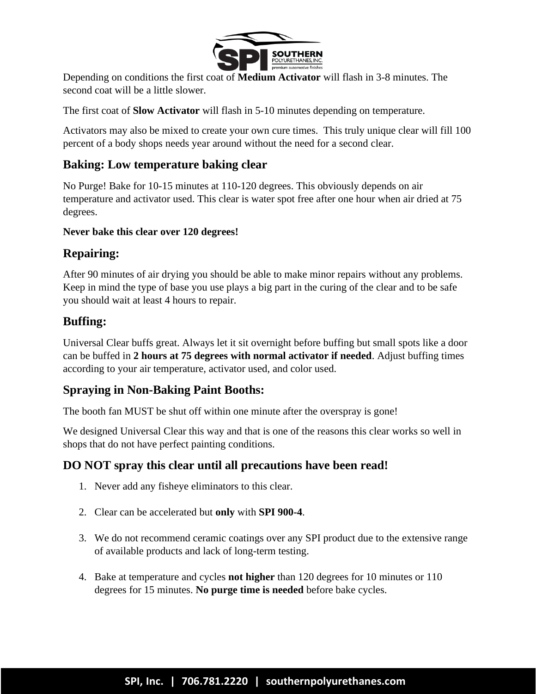

Depending on conditions the first coat of **Medium Activator** will flash in 3-8 minutes. The second coat will be a little slower.

The first coat of **Slow Activator** will flash in 5-10 minutes depending on temperature.

Activators may also be mixed to create your own cure times. This truly unique clear will fill 100 percent of a body shops needs year around without the need for a second clear.

## **Baking: Low temperature baking clear**

No Purge! Bake for 10-15 minutes at 110-120 degrees. This obviously depends on air temperature and activator used. This clear is water spot free after one hour when air dried at 75 degrees.

#### **Never bake this clear over 120 degrees!**

#### **Repairing:**

After 90 minutes of air drying you should be able to make minor repairs without any problems. Keep in mind the type of base you use plays a big part in the curing of the clear and to be safe you should wait at least 4 hours to repair.

#### **Buffing:**

Universal Clear buffs great. Always let it sit overnight before buffing but small spots like a door can be buffed in **2 hours at 75 degrees with normal activator if needed**. Adjust buffing times according to your air temperature, activator used, and color used.

## **Spraying in Non-Baking Paint Booths:**

The booth fan MUST be shut off within one minute after the overspray is gone!

We designed Universal Clear this way and that is one of the reasons this clear works so well in shops that do not have perfect painting conditions.

#### **DO NOT spray this clear until all precautions have been read!**

- 1. Never add any fisheye eliminators to this clear.
- 2. Clear can be accelerated but **only** with **SPI 900-4**.
- 3. We do not recommend ceramic coatings over any SPI product due to the extensive range of available products and lack of long-term testing.
- 4. Bake at temperature and cycles **not higher** than 120 degrees for 10 minutes or 110 degrees for 15 minutes. **No purge time is needed** before bake cycles.